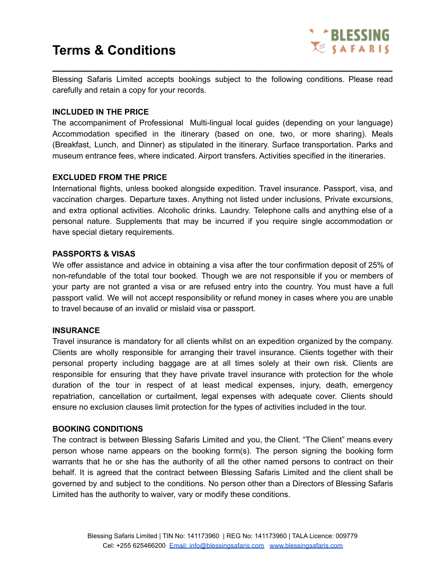

Blessing Safaris Limited accepts bookings subject to the following conditions. Please read carefully and retain a copy for your records.

**\_\_\_\_\_\_\_\_\_\_\_\_\_\_\_\_\_\_\_\_\_\_\_\_\_\_\_\_\_\_\_\_\_\_\_\_\_\_\_\_\_\_\_\_\_\_\_\_\_\_\_\_\_\_\_\_\_\_\_\_**

### **INCLUDED IN THE PRICE**

The accompaniment of Professional Multi-lingual local guides (depending on your language) Accommodation specified in the itinerary (based on one, two, or more sharing). Meals (Breakfast, Lunch, and Dinner) as stipulated in the itinerary. Surface transportation. Parks and museum entrance fees, where indicated. Airport transfers. Activities specified in the itineraries.

### **EXCLUDED FROM THE PRICE**

International flights, unless booked alongside expedition. Travel insurance. Passport, visa, and vaccination charges. Departure taxes. Anything not listed under inclusions, Private excursions, and extra optional activities. Alcoholic drinks. Laundry. Telephone calls and anything else of a personal nature. Supplements that may be incurred if you require single accommodation or have special dietary requirements.

### **PASSPORTS & VISAS**

We offer assistance and advice in obtaining a visa after the tour confirmation deposit of 25% of non-refundable of the total tour booked. Though we are not responsible if you or members of your party are not granted a visa or are refused entry into the country. You must have a full passport valid. We will not accept responsibility or refund money in cases where you are unable to travel because of an invalid or mislaid visa or passport.

#### **INSURANCE**

Travel insurance is mandatory for all clients whilst on an expedition organized by the company. Clients are wholly responsible for arranging their travel insurance. Clients together with their personal property including baggage are at all times solely at their own risk. Clients are responsible for ensuring that they have private travel insurance with protection for the whole duration of the tour in respect of at least medical expenses, injury, death, emergency repatriation, cancellation or curtailment, legal expenses with adequate cover. Clients should ensure no exclusion clauses limit protection for the types of activities included in the tour.

#### **BOOKING CONDITIONS**

The contract is between Blessing Safaris Limited and you, the Client. "The Client" means every person whose name appears on the booking form(s). The person signing the booking form warrants that he or she has the authority of all the other named persons to contract on their behalf. It is agreed that the contract between Blessing Safaris Limited and the client shall be governed by and subject to the conditions. No person other than a Directors of Blessing Safaris Limited has the authority to waiver, vary or modify these conditions.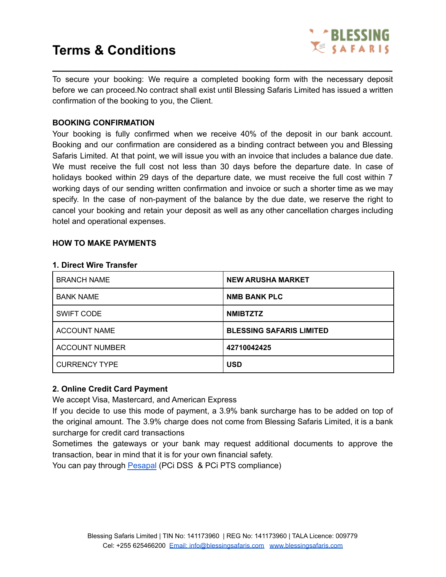

To secure your booking: We require a completed booking form with the necessary deposit before we can proceed.No contract shall exist until Blessing Safaris Limited has issued a written confirmation of the booking to you, the Client.

**\_\_\_\_\_\_\_\_\_\_\_\_\_\_\_\_\_\_\_\_\_\_\_\_\_\_\_\_\_\_\_\_\_\_\_\_\_\_\_\_\_\_\_\_\_\_\_\_\_\_\_\_\_\_\_\_\_\_\_\_**

## **BOOKING CONFIRMATION**

Your booking is fully confirmed when we receive 40% of the deposit in our bank account. Booking and our confirmation are considered as a binding contract between you and Blessing Safaris Limited. At that point, we will issue you with an invoice that includes a balance due date. We must receive the full cost not less than 30 days before the departure date. In case of holidays booked within 29 days of the departure date, we must receive the full cost within 7 working days of our sending written confirmation and invoice or such a shorter time as we may specify. In the case of non-payment of the balance by the due date, we reserve the right to cancel your booking and retain your deposit as well as any other cancellation charges including hotel and operational expenses.

### **HOW TO MAKE PAYMENTS**

#### **1. Direct Wire Transfer**

| <b>BRANCH NAME</b>    | <b>NEW ARUSHA MARKET</b>        |
|-----------------------|---------------------------------|
| <b>BANK NAME</b>      | <b>NMB BANK PLC</b>             |
| <b>SWIFT CODE</b>     | <b>NMIBTZTZ</b>                 |
| <b>ACCOUNT NAME</b>   | <b>BLESSING SAFARIS LIMITED</b> |
| <b>ACCOUNT NUMBER</b> | 42710042425                     |
| <b>CURRENCY TYPE</b>  | <b>USD</b>                      |

## **2. Online Credit Card Payment**

We accept Visa, Mastercard, and American Express

If you decide to use this mode of payment, a 3.9% bank surcharge has to be added on top of the original amount. The 3.9% charge does not come from Blessing Safaris Limited, it is a bank surcharge for credit card transactions

Sometimes the gateways or your bank may request additional documents to approve the transaction, bear in mind that it is for your own financial safety.

You can pay through [Pesapal](https://payments.pesapal.com/blessingsafaris) (PCi DSS & PCi PTS compliance)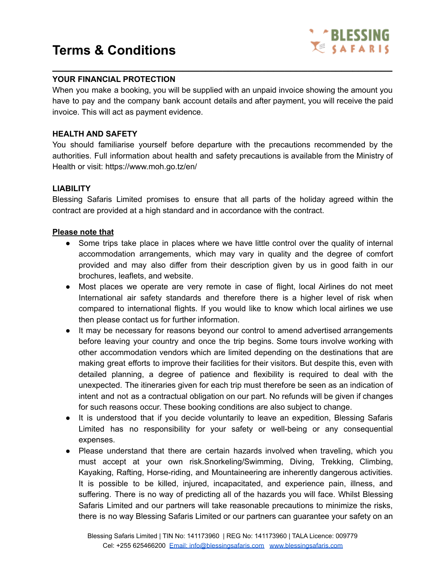

## **YOUR FINANCIAL PROTECTION**

When you make a booking, you will be supplied with an unpaid invoice showing the amount you have to pay and the company bank account details and after payment, you will receive the paid invoice. This will act as payment evidence.

**\_\_\_\_\_\_\_\_\_\_\_\_\_\_\_\_\_\_\_\_\_\_\_\_\_\_\_\_\_\_\_\_\_\_\_\_\_\_\_\_\_\_\_\_\_\_\_\_\_\_\_\_\_\_\_\_\_\_\_\_**

## **HEALTH AND SAFETY**

You should familiarise yourself before departure with the precautions recommended by the authorities. Full information about health and safety precautions is available from the Ministry of Health or visit: https://www.moh.go.tz/en/

## **LIABILITY**

Blessing Safaris Limited promises to ensure that all parts of the holiday agreed within the contract are provided at a high standard and in accordance with the contract.

#### **Please note that**

- Some trips take place in places where we have little control over the quality of internal accommodation arrangements, which may vary in quality and the degree of comfort provided and may also differ from their description given by us in good faith in our brochures, leaflets, and website.
- Most places we operate are very remote in case of flight, local Airlines do not meet International air safety standards and therefore there is a higher level of risk when compared to international flights. If you would like to know which local airlines we use then please contact us for further information.
- It may be necessary for reasons beyond our control to amend advertised arrangements before leaving your country and once the trip begins. Some tours involve working with other accommodation vendors which are limited depending on the destinations that are making great efforts to improve their facilities for their visitors. But despite this, even with detailed planning, a degree of patience and flexibility is required to deal with the unexpected. The itineraries given for each trip must therefore be seen as an indication of intent and not as a contractual obligation on our part. No refunds will be given if changes for such reasons occur. These booking conditions are also subject to change.
- It is understood that if you decide voluntarily to leave an expedition, Blessing Safaris Limited has no responsibility for your safety or well-being or any consequential expenses.
- Please understand that there are certain hazards involved when traveling, which you must accept at your own risk.Snorkeling/Swimming, Diving, Trekking, Climbing, Kayaking, Rafting, Horse-riding, and Mountaineering are inherently dangerous activities. It is possible to be killed, injured, incapacitated, and experience pain, illness, and suffering. There is no way of predicting all of the hazards you will face. Whilst Blessing Safaris Limited and our partners will take reasonable precautions to minimize the risks, there is no way Blessing Safaris Limited or our partners can guarantee your safety on an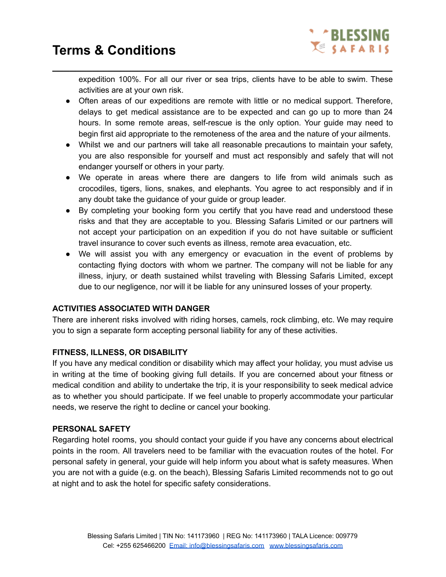

expedition 100%. For all our river or sea trips, clients have to be able to swim. These activities are at your own risk.

**\_\_\_\_\_\_\_\_\_\_\_\_\_\_\_\_\_\_\_\_\_\_\_\_\_\_\_\_\_\_\_\_\_\_\_\_\_\_\_\_\_\_\_\_\_\_\_\_\_\_\_\_\_\_\_\_\_\_\_\_**

- Often areas of our expeditions are remote with little or no medical support. Therefore, delays to get medical assistance are to be expected and can go up to more than 24 hours. In some remote areas, self-rescue is the only option. Your guide may need to begin first aid appropriate to the remoteness of the area and the nature of your ailments.
- Whilst we and our partners will take all reasonable precautions to maintain your safety, you are also responsible for yourself and must act responsibly and safely that will not endanger yourself or others in your party.
- We operate in areas where there are dangers to life from wild animals such as crocodiles, tigers, lions, snakes, and elephants. You agree to act responsibly and if in any doubt take the guidance of your guide or group leader.
- By completing your booking form you certify that you have read and understood these risks and that they are acceptable to you. Blessing Safaris Limited or our partners will not accept your participation on an expedition if you do not have suitable or sufficient travel insurance to cover such events as illness, remote area evacuation, etc.
- We will assist you with any emergency or evacuation in the event of problems by contacting flying doctors with whom we partner. The company will not be liable for any illness, injury, or death sustained whilst traveling with Blessing Safaris Limited, except due to our negligence, nor will it be liable for any uninsured losses of your property.

# **ACTIVITIES ASSOCIATED WITH DANGER**

There are inherent risks involved with riding horses, camels, rock climbing, etc. We may require you to sign a separate form accepting personal liability for any of these activities.

## **FITNESS, ILLNESS, OR DISABILITY**

If you have any medical condition or disability which may affect your holiday, you must advise us in writing at the time of booking giving full details. If you are concerned about your fitness or medical condition and ability to undertake the trip, it is your responsibility to seek medical advice as to whether you should participate. If we feel unable to properly accommodate your particular needs, we reserve the right to decline or cancel your booking.

## **PERSONAL SAFETY**

Regarding hotel rooms, you should contact your guide if you have any concerns about electrical points in the room. All travelers need to be familiar with the evacuation routes of the hotel. For personal safety in general, your guide will help inform you about what is safety measures. When you are not with a guide (e.g. on the beach), Blessing Safaris Limited recommends not to go out at night and to ask the hotel for specific safety considerations.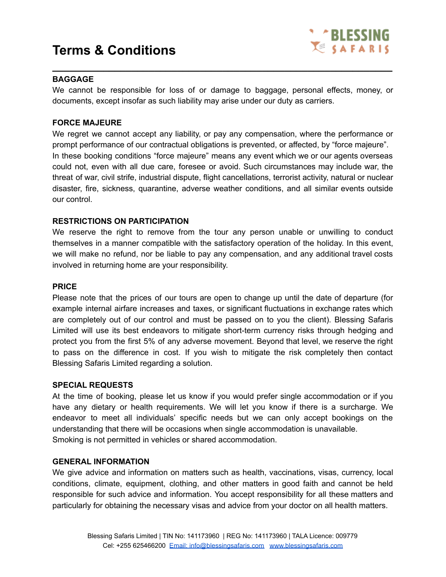

## **BAGGAGE**

We cannot be responsible for loss of or damage to baggage, personal effects, money, or documents, except insofar as such liability may arise under our duty as carriers.

**\_\_\_\_\_\_\_\_\_\_\_\_\_\_\_\_\_\_\_\_\_\_\_\_\_\_\_\_\_\_\_\_\_\_\_\_\_\_\_\_\_\_\_\_\_\_\_\_\_\_\_\_\_\_\_\_\_\_\_\_**

### **FORCE MAJEURE**

We regret we cannot accept any liability, or pay any compensation, where the performance or prompt performance of our contractual obligations is prevented, or affected, by "force majeure". In these booking conditions "force majeure" means any event which we or our agents overseas could not, even with all due care, foresee or avoid. Such circumstances may include war, the threat of war, civil strife, industrial dispute, flight cancellations, terrorist activity, natural or nuclear disaster, fire, sickness, quarantine, adverse weather conditions, and all similar events outside our control.

### **RESTRICTIONS ON PARTICIPATION**

We reserve the right to remove from the tour any person unable or unwilling to conduct themselves in a manner compatible with the satisfactory operation of the holiday. In this event, we will make no refund, nor be liable to pay any compensation, and any additional travel costs involved in returning home are your responsibility.

#### **PRICE**

Please note that the prices of our tours are open to change up until the date of departure (for example internal airfare increases and taxes, or significant fluctuations in exchange rates which are completely out of our control and must be passed on to you the client). Blessing Safaris Limited will use its best endeavors to mitigate short-term currency risks through hedging and protect you from the first 5% of any adverse movement. Beyond that level, we reserve the right to pass on the difference in cost. If you wish to mitigate the risk completely then contact Blessing Safaris Limited regarding a solution.

#### **SPECIAL REQUESTS**

At the time of booking, please let us know if you would prefer single accommodation or if you have any dietary or health requirements. We will let you know if there is a surcharge. We endeavor to meet all individuals' specific needs but we can only accept bookings on the understanding that there will be occasions when single accommodation is unavailable. Smoking is not permitted in vehicles or shared accommodation.

#### **GENERAL INFORMATION**

We give advice and information on matters such as health, vaccinations, visas, currency, local conditions, climate, equipment, clothing, and other matters in good faith and cannot be held responsible for such advice and information. You accept responsibility for all these matters and particularly for obtaining the necessary visas and advice from your doctor on all health matters.